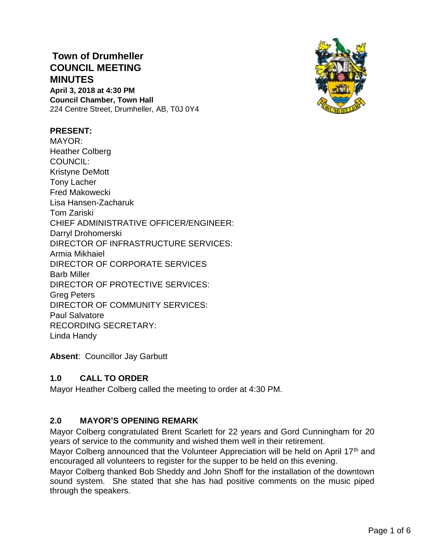# **Town of Drumheller COUNCIL MEETING MINUTES April 3, 2018 at 4:30 PM Council Chamber, Town Hall**

224 Centre Street, Drumheller, AB, T0J 0Y4

## **PRESENT:**

MAYOR: Heather Colberg COUNCIL: Kristyne DeMott Tony Lacher Fred Makowecki Lisa Hansen-Zacharuk Tom Zariski CHIEF ADMINISTRATIVE OFFICER/ENGINEER: Darryl Drohomerski DIRECTOR OF INFRASTRUCTURE SERVICES: Armia Mikhaiel DIRECTOR OF CORPORATE SERVICES Barb Miller DIRECTOR OF PROTECTIVE SERVICES: Greg Peters DIRECTOR OF COMMUNITY SERVICES: Paul Salvatore RECORDING SECRETARY: Linda Handy

**Absent**: Councillor Jay Garbutt

# **1.0 CALL TO ORDER**

Mayor Heather Colberg called the meeting to order at 4:30 PM.

# **2.0 MAYOR'S OPENING REMARK**

Mayor Colberg congratulated Brent Scarlett for 22 years and Gord Cunningham for 20 years of service to the community and wished them well in their retirement.

Mayor Colberg announced that the Volunteer Appreciation will be held on April 17<sup>th</sup> and encouraged all volunteers to register for the supper to be held on this evening.

Mayor Colberg thanked Bob Sheddy and John Shoff for the installation of the downtown sound system. She stated that she has had positive comments on the music piped through the speakers.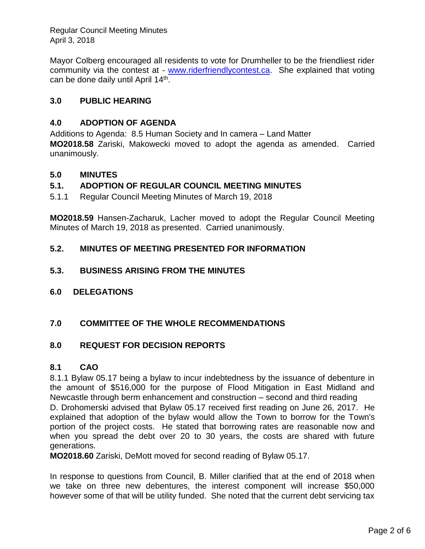Regular Council Meeting Minutes April 3, 2018

Mayor Colberg encouraged all residents to vote for Drumheller to be the friendliest rider community via the contest at - [www.riderfriendlycontest.ca.](http://www.riderfriendlycontest.ca/) She explained that voting can be done daily until April 14<sup>th</sup>.

# **3.0 PUBLIC HEARING**

## **4.0 ADOPTION OF AGENDA**

Additions to Agenda: 8.5 Human Society and In camera – Land Matter **MO2018.58** Zariski, Makowecki moved to adopt the agenda as amended. Carried unanimously.

## **5.0 MINUTES**

## **5.1. ADOPTION OF REGULAR COUNCIL MEETING MINUTES**

5.1.1 Regular Council Meeting Minutes of March 19, 2018

**MO2018.59** Hansen-Zacharuk, Lacher moved to adopt the Regular Council Meeting Minutes of March 19, 2018 as presented. Carried unanimously.

## **5.2. MINUTES OF MEETING PRESENTED FOR INFORMATION**

## **5.3. BUSINESS ARISING FROM THE MINUTES**

**6.0 DELEGATIONS**

## **7.0 COMMITTEE OF THE WHOLE RECOMMENDATIONS**

## **8.0 REQUEST FOR DECISION REPORTS**

## **8.1 CAO**

8.1.1 Bylaw 05.17 being a bylaw to incur indebtedness by the issuance of debenture in the amount of \$516,000 for the purpose of Flood Mitigation in East Midland and Newcastle through berm enhancement and construction – second and third reading D. Drohomerski advised that Bylaw 05.17 received first reading on June 26, 2017. He

explained that adoption of the bylaw would allow the Town to borrow for the Town's portion of the project costs. He stated that borrowing rates are reasonable now and when you spread the debt over 20 to 30 years, the costs are shared with future generations.

**MO2018.60** Zariski, DeMott moved for second reading of Bylaw 05.17.

In response to questions from Council, B. Miller clarified that at the end of 2018 when we take on three new debentures, the interest component will increase \$50,000 however some of that will be utility funded. She noted that the current debt servicing tax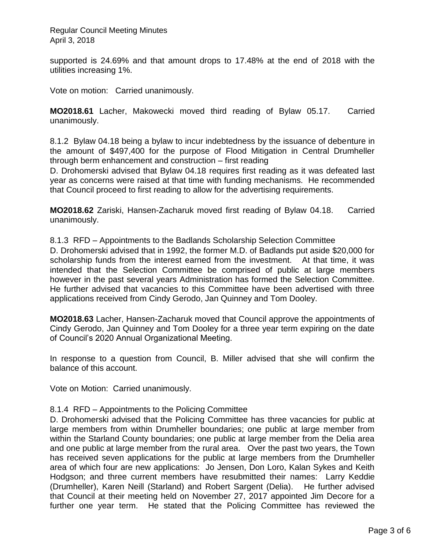supported is 24.69% and that amount drops to 17.48% at the end of 2018 with the utilities increasing 1%.

Vote on motion: Carried unanimously.

**MO2018.61** Lacher, Makowecki moved third reading of Bylaw 05.17. Carried unanimously.

8.1.2 Bylaw 04.18 being a bylaw to incur indebtedness by the issuance of debenture in the amount of \$497,400 for the purpose of Flood Mitigation in Central Drumheller through berm enhancement and construction – first reading

D. Drohomerski advised that Bylaw 04.18 requires first reading as it was defeated last year as concerns were raised at that time with funding mechanisms. He recommended that Council proceed to first reading to allow for the advertising requirements.

**MO2018.62** Zariski, Hansen-Zacharuk moved first reading of Bylaw 04.18. Carried unanimously.

8.1.3 RFD – Appointments to the Badlands Scholarship Selection Committee

D. Drohomerski advised that in 1992, the former M.D. of Badlands put aside \$20,000 for scholarship funds from the interest earned from the investment. At that time, it was intended that the Selection Committee be comprised of public at large members however in the past several years Administration has formed the Selection Committee. He further advised that vacancies to this Committee have been advertised with three applications received from Cindy Gerodo, Jan Quinney and Tom Dooley.

**MO2018.63** Lacher, Hansen-Zacharuk moved that Council approve the appointments of Cindy Gerodo, Jan Quinney and Tom Dooley for a three year term expiring on the date of Council's 2020 Annual Organizational Meeting.

In response to a question from Council, B. Miller advised that she will confirm the balance of this account.

Vote on Motion: Carried unanimously.

#### 8.1.4 RFD – Appointments to the Policing Committee

D. Drohomerski advised that the Policing Committee has three vacancies for public at large members from within Drumheller boundaries; one public at large member from within the Starland County boundaries; one public at large member from the Delia area and one public at large member from the rural area. Over the past two years, the Town has received seven applications for the public at large members from the Drumheller area of which four are new applications: Jo Jensen, Don Loro, Kalan Sykes and Keith Hodgson; and three current members have resubmitted their names: Larry Keddie (Drumheller), Karen Neill (Starland) and Robert Sargent (Delia). He further advised that Council at their meeting held on November 27, 2017 appointed Jim Decore for a further one year term. He stated that the Policing Committee has reviewed the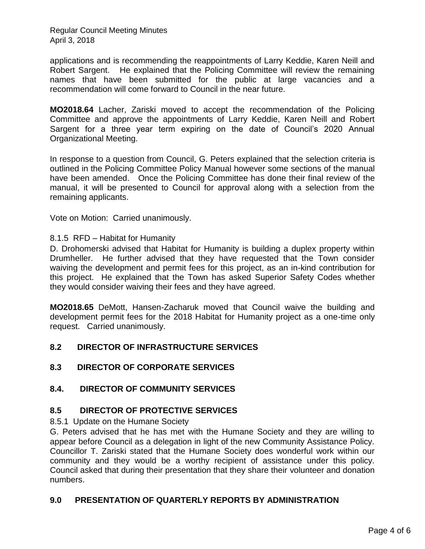Regular Council Meeting Minutes April 3, 2018

applications and is recommending the reappointments of Larry Keddie, Karen Neill and Robert Sargent. He explained that the Policing Committee will review the remaining names that have been submitted for the public at large vacancies and a recommendation will come forward to Council in the near future.

**MO2018.64** Lacher, Zariski moved to accept the recommendation of the Policing Committee and approve the appointments of Larry Keddie, Karen Neill and Robert Sargent for a three year term expiring on the date of Council's 2020 Annual Organizational Meeting.

In response to a question from Council, G. Peters explained that the selection criteria is outlined in the Policing Committee Policy Manual however some sections of the manual have been amended. Once the Policing Committee has done their final review of the manual, it will be presented to Council for approval along with a selection from the remaining applicants.

Vote on Motion: Carried unanimously.

#### 8.1.5 RFD – Habitat for Humanity

D. Drohomerski advised that Habitat for Humanity is building a duplex property within Drumheller. He further advised that they have requested that the Town consider waiving the development and permit fees for this project, as an in-kind contribution for this project. He explained that the Town has asked Superior Safety Codes whether they would consider waiving their fees and they have agreed.

**MO2018.65** DeMott, Hansen-Zacharuk moved that Council waive the building and development permit fees for the 2018 Habitat for Humanity project as a one-time only request. Carried unanimously.

## **8.2 DIRECTOR OF INFRASTRUCTURE SERVICES**

## **8.3 DIRECTOR OF CORPORATE SERVICES**

## **8.4. DIRECTOR OF COMMUNITY SERVICES**

## **8.5 DIRECTOR OF PROTECTIVE SERVICES**

8.5.1 Update on the Humane Society

G. Peters advised that he has met with the Humane Society and they are willing to appear before Council as a delegation in light of the new Community Assistance Policy. Councillor T. Zariski stated that the Humane Society does wonderful work within our community and they would be a worthy recipient of assistance under this policy. Council asked that during their presentation that they share their volunteer and donation numbers.

## **9.0 PRESENTATION OF QUARTERLY REPORTS BY ADMINISTRATION**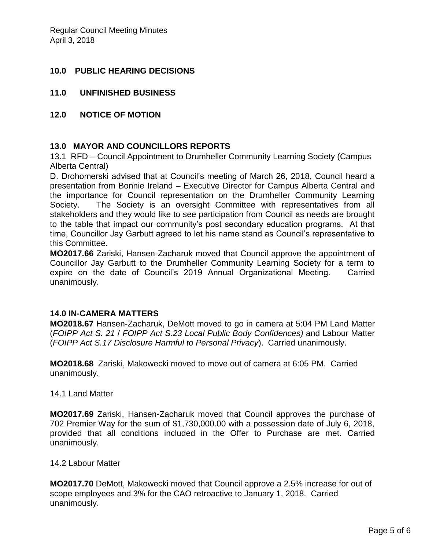## **10.0 PUBLIC HEARING DECISIONS**

- **11.0 UNFINISHED BUSINESS**
- **12.0 NOTICE OF MOTION**

## **13.0 MAYOR AND COUNCILLORS REPORTS**

13.1 RFD – Council Appointment to Drumheller Community Learning Society (Campus Alberta Central)

D. Drohomerski advised that at Council's meeting of March 26, 2018, Council heard a presentation from Bonnie Ireland – Executive Director for Campus Alberta Central and the importance for Council representation on the Drumheller Community Learning Society. The Society is an oversight Committee with representatives from all stakeholders and they would like to see participation from Council as needs are brought to the table that impact our community's post secondary education programs. At that time, Councillor Jay Garbutt agreed to let his name stand as Council's representative to this Committee.

**MO2017.66** Zariski, Hansen-Zacharuk moved that Council approve the appointment of Councillor Jay Garbutt to the Drumheller Community Learning Society for a term to expire on the date of Council's 2019 Annual Organizational Meeting. Carried unanimously.

## **14.0 IN-CAMERA MATTERS**

**MO2018.67** Hansen-Zacharuk, DeMott moved to go in camera at 5:04 PM Land Matter (*FOIPP Act S. 21* / *FOIPP Act S.23 Local Public Body Confidences)* and Labour Matter (*FOIPP Act S.17 Disclosure Harmful to Personal Privacy*). Carried unanimously.

**MO2018.68** Zariski, Makowecki moved to move out of camera at 6:05 PM. Carried unanimously.

14.1 Land Matter

**MO2017.69** Zariski, Hansen-Zacharuk moved that Council approves the purchase of 702 Premier Way for the sum of \$1,730,000.00 with a possession date of July 6, 2018, provided that all conditions included in the Offer to Purchase are met. Carried unanimously.

#### 14.2 Labour Matter

**MO2017.70** DeMott, Makowecki moved that Council approve a 2.5% increase for out of scope employees and 3% for the CAO retroactive to January 1, 2018. Carried unanimously.